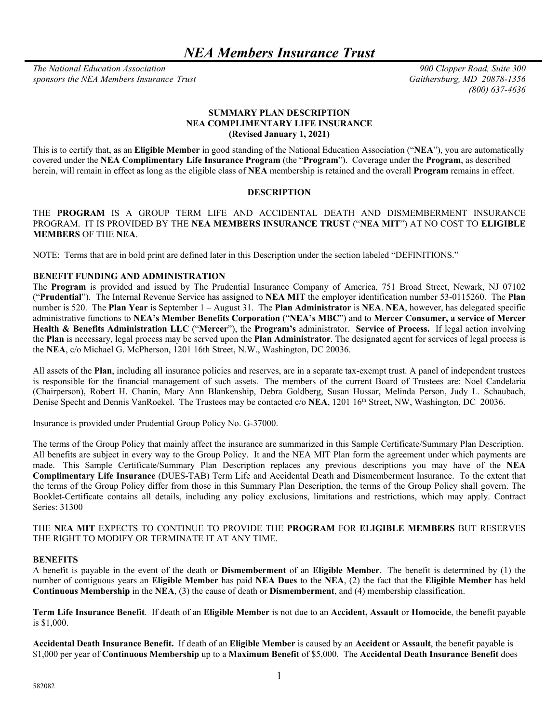*NEA Members Insurance Trust* 

*The National Education Association 900 Clopper Road, Suite 300 sponsors the NEA Members Insurance Trust Gaithersburg, MD 20878-1356* 

*(800) 637-4636*

## **SUMMARY PLAN DESCRIPTION NEA COMPLIMENTARY LIFE INSURANCE (Revised January 1, 2021)**

This is to certify that, as an **Eligible Member** in good standing of the National Education Association ("**NEA**"), you are automatically covered under the **NEA Complimentary Life Insurance Program** (the "**Program**"). Coverage under the **Program**, as described herein, will remain in effect as long as the eligible class of **NEA** membership is retained and the overall **Program** remains in effect.

#### **DESCRIPTION**

THE **PROGRAM** IS A GROUP TERM LIFE AND ACCIDENTAL DEATH AND DISMEMBERMENT INSURANCE PROGRAM. IT IS PROVIDED BY THE **NEA MEMBERS INSURANCE TRUST** ("**NEA MIT**") AT NO COST TO **ELIGIBLE MEMBERS** OF THE **NEA**.

NOTE: Terms that are in bold print are defined later in this Description under the section labeled "DEFINITIONS."

## **BENEFIT FUNDING AND ADMINISTRATION**

The **Program** is provided and issued by The Prudential Insurance Company of America, 751 Broad Street, Newark, NJ 07102 ("**Prudential**"). The Internal Revenue Service has assigned to **NEA MIT** the employer identification number 53-0115260. The **Plan** number is 520. The **Plan Year** is September 1 – August 31. The **Plan Administrator** is **NEA**. **NEA**, however, has delegated specific administrative functions to **NEA's Member Benefits Corporation** ("**NEA's MBC**") and to **Mercer Consumer, a service of Mercer Health & Benefits Administration LLC** ("**Mercer**"), the **Program's** administrator. **Service of Process.** If legal action involving the **Plan** is necessary, legal process may be served upon the **Plan Administrator**. The designated agent for services of legal process is the **NEA**, c/o Michael G. McPherson, 1201 16th Street, N.W., Washington, DC 20036.

All assets of the **Plan**, including all insurance policies and reserves, are in a separate tax-exempt trust. A panel of independent trustees is responsible for the financial management of such assets. The members of the current Board of Trustees are: Noel Candelaria (Chairperson), Robert H. Chanin, Mary Ann Blankenship, Debra Goldberg, Susan Hussar, Melinda Person, Judy L. Schaubach, Denise Specht and Dennis VanRoekel. The Trustees may be contacted c/o NEA, 1201 16<sup>th</sup> Street, NW, Washington, DC 20036.

Insurance is provided under Prudential Group Policy No. G-37000.

The terms of the Group Policy that mainly affect the insurance are summarized in this Sample Certificate/Summary Plan Description. All benefits are subject in every way to the Group Policy. It and the NEA MIT Plan form the agreement under which payments are made. This Sample Certificate/Summary Plan Description replaces any previous descriptions you may have of the **NEA Complimentary Life Insurance** (DUES-TAB) Term Life and Accidental Death and Dismemberment Insurance. To the extent that the terms of the Group Policy differ from those in this Summary Plan Description, the terms of the Group Policy shall govern. The Booklet-Certificate contains all details, including any policy exclusions, limitations and restrictions, which may apply. Contract Series: 31300

THE **NEA MIT** EXPECTS TO CONTINUE TO PROVIDE THE **PROGRAM** FOR **ELIGIBLE MEMBERS** BUT RESERVES THE RIGHT TO MODIFY OR TERMINATE IT AT ANY TIME.

#### **BENEFITS**

A benefit is payable in the event of the death or **Dismemberment** of an **Eligible Member**. The benefit is determined by (1) the number of contiguous years an **Eligible Member** has paid **NEA Dues** to the **NEA**, (2) the fact that the **Eligible Member** has held **Continuous Membership** in the **NEA**, (3) the cause of death or **Dismemberment**, and (4) membership classification.

**Term Life Insurance Benefit**. If death of an **Eligible Member** is not due to an **Accident, Assault** or **Homocide**, the benefit payable is \$1,000.

**Accidental Death Insurance Benefit.** If death of an **Eligible Member** is caused by an **Accident** or **Assault**, the benefit payable is \$1,000 per year of **Continuous Membership** up to a **Maximum Benefit** of \$5,000. The **Accidental Death Insurance Benefit** does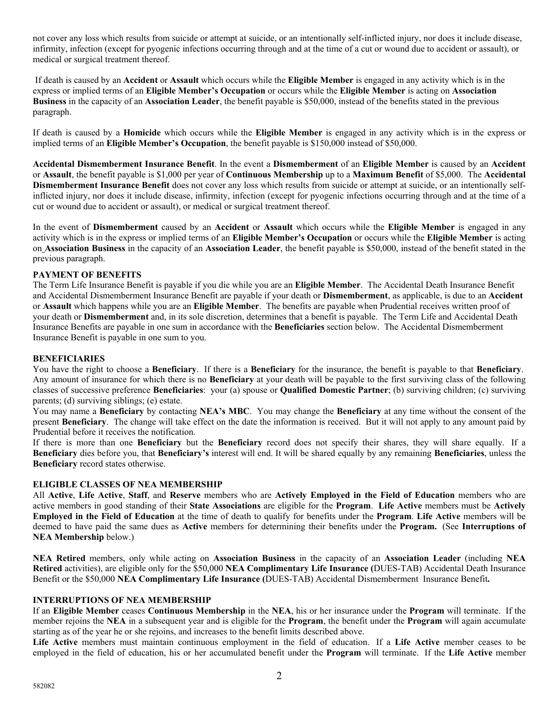not cover any loss which results from suicide or attempt at suicide, or an intentionally self-inflicted injury, nor does it include disease, infirmity, infection (except for pyogenic infections occurring through and at the time of a cut or wound due to accident or assault), or medical or surgical treatment thereof.

 If death is caused by an **Accident** or **Assault** which occurs while the **Eligible Member** is engaged in any activity which is in the express or implied terms of an **Eligible Member's Occupation** or occurs while the **Eligible Member** is acting on **Association Business** in the capacity of an **Association Leader**, the benefit payable is \$50,000, instead of the benefits stated in the previous paragraph.

If death is caused by a **Homicide** which occurs while the **Eligible Member** is engaged in any activity which is in the express or implied terms of an **Eligible Member's Occupation**, the benefit payable is \$150,000 instead of \$50,000.

**Accidental Dismemberment Insurance Benefit**. In the event a **Dismemberment** of an **Eligible Member** is caused by an **Accident** or **Assault**, the benefit payable is \$1,000 per year of **Continuous Membership** up to a **Maximum Benefit** of \$5,000. The **Accidental Dismemberment Insurance Benefit** does not cover any loss which results from suicide or attempt at suicide, or an intentionally selfinflicted injury, nor does it include disease, infirmity, infection (except for pyogenic infections occurring through and at the time of a cut or wound due to accident or assault), or medical or surgical treatment thereof.

In the event of **Dismemberment** caused by an **Accident** or **Assault** which occurs while the **Eligible Member** is engaged in any activity which is in the express or implied terms of an **Eligible Member's Occupation** or occurs while the **Eligible Member** is acting on **Association Business** in the capacity of an **Association Leader**, the benefit payable is \$50,000, instead of the benefit stated in the previous paragraph.

### **PAYMENT OF BENEFITS**

The Term Life Insurance Benefit is payable if you die while you are an **Eligible Member**. The Accidental Death Insurance Benefit and Accidental Dismemberment Insurance Benefit are payable if your death or **Dismemberment**, as applicable, is due to an **Accident** or **Assault** which happens while you are an **Eligible Member**. The benefits are payable when Prudential receives written proof of your death or **Dismemberment** and, in its sole discretion, determines that a benefit is payable. The Term Life and Accidental Death Insurance Benefits are payable in one sum in accordance with the **Beneficiaries** section below. The Accidental Dismemberment Insurance Benefit is payable in one sum to you.

#### **BENEFICIARIES**

You have the right to choose a **Beneficiary**. If there is a **Beneficiary** for the insurance, the benefit is payable to that **Beneficiary**. Any amount of insurance for which there is no **Beneficiary** at your death will be payable to the first surviving class of the following classes of successive preference **Beneficiaries**: your (a) spouse or **Qualified Domestic Partner**; (b) surviving children; (c) surviving parents; (d) surviving siblings; (e) estate.

You may name a **Beneficiary** by contacting **NEA's MBC**. You may change the **Beneficiary** at any time without the consent of the present **Beneficiary**. The change will take effect on the date the information is received. But it will not apply to any amount paid by Prudential before it receives the notification.

If there is more than one **Beneficiary** but the **Beneficiary** record does not specify their shares, they will share equally. If a **Beneficiary** dies before you, that **Beneficiary's** interest will end. It will be shared equally by any remaining **Beneficiaries**, unless the **Beneficiary** record states otherwise.

### **ELIGIBLE CLASSES OF NEA MEMBERSHIP**

All **Active**, **Life Active**, **Staff**, and **Reserve** members who are **Actively Employed in the Field of Education** members who are active members in good standing of their **State Associations** are eligible for the **Program**. **Life Active** members must be **Actively Employed in the Field of Education** at the time of death to qualify for benefits under the **Program**. **Life Active** members will be deemed to have paid the same dues as **Active** members for determining their benefits under the **Program.** (See **Interruptions of NEA Membership** below.)

**NEA Retired** members, only while acting on **Association Business** in the capacity of an **Association Leader** (including **NEA Retired** activities), are eligible only for the \$50,000 **NEA Complimentary Life Insurance (**DUES-TAB) Accidental Death Insurance Benefit or the \$50,000 **NEA Complimentary Life Insurance (**DUES-TAB) Accidental Dismemberment Insurance Benefit**.** 

#### **INTERRUPTIONS OF NEA MEMBERSHIP**

If an **Eligible Member** ceases **Continuous Membership** in the **NEA**, his or her insurance under the **Program** will terminate. If the member rejoins the **NEA** in a subsequent year and is eligible for the **Program**, the benefit under the **Program** will again accumulate starting as of the year he or she rejoins, and increases to the benefit limits described above.

**Life Active** members must maintain continuous employment in the field of education. If a **Life Active** member ceases to be employed in the field of education, his or her accumulated benefit under the **Program** will terminate. If the **Life Active** member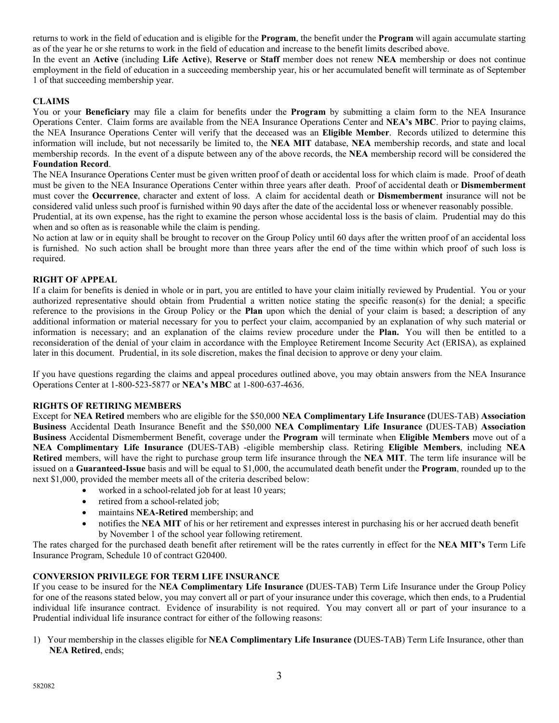returns to work in the field of education and is eligible for the **Program**, the benefit under the **Program** will again accumulate starting as of the year he or she returns to work in the field of education and increase to the benefit limits described above.

In the event an **Active** (including **Life Active**), **Reserve** or **Staff** member does not renew **NEA** membership or does not continue employment in the field of education in a succeeding membership year, his or her accumulated benefit will terminate as of September 1 of that succeeding membership year.

# **CLAIMS**

You or your **Beneficiary** may file a claim for benefits under the **Program** by submitting a claim form to the NEA Insurance Operations Center. Claim forms are available from the NEA Insurance Operations Center and **NEA's MBC**. Prior to paying claims, the NEA Insurance Operations Center will verify that the deceased was an **Eligible Member**. Records utilized to determine this information will include, but not necessarily be limited to, the **NEA MIT** database, **NEA** membership records, and state and local membership records. In the event of a dispute between any of the above records, the **NEA** membership record will be considered the **Foundation Record**.

The NEA Insurance Operations Center must be given written proof of death or accidental loss for which claim is made. Proof of death must be given to the NEA Insurance Operations Center within three years after death. Proof of accidental death or **Dismemberment** must cover the **Occurrence**, character and extent of loss. A claim for accidental death or **Dismemberment** insurance will not be considered valid unless such proof is furnished within 90 days after the date of the accidental loss or whenever reasonably possible.

Prudential, at its own expense, has the right to examine the person whose accidental loss is the basis of claim. Prudential may do this when and so often as is reasonable while the claim is pending.

No action at law or in equity shall be brought to recover on the Group Policy until 60 days after the written proof of an accidental loss is furnished. No such action shall be brought more than three years after the end of the time within which proof of such loss is required.

### **RIGHT OF APPEAL**

If a claim for benefits is denied in whole or in part, you are entitled to have your claim initially reviewed by Prudential. You or your authorized representative should obtain from Prudential a written notice stating the specific reason(s) for the denial; a specific reference to the provisions in the Group Policy or the **Plan** upon which the denial of your claim is based; a description of any additional information or material necessary for you to perfect your claim, accompanied by an explanation of why such material or information is necessary; and an explanation of the claims review procedure under the **Plan.** You will then be entitled to a reconsideration of the denial of your claim in accordance with the Employee Retirement Income Security Act (ERISA), as explained later in this document. Prudential, in its sole discretion, makes the final decision to approve or deny your claim.

If you have questions regarding the claims and appeal procedures outlined above, you may obtain answers from the NEA Insurance Operations Center at 1-800-523-5877 or **NEA's MBC** at 1-800-637-4636.

### **RIGHTS OF RETIRING MEMBERS**

Except for **NEA Retired** members who are eligible for the \$50,000 **NEA Complimentary Life Insurance (**DUES-TAB) **Association Business** Accidental Death Insurance Benefit and the \$50,000 **NEA Complimentary Life Insurance (**DUES-TAB) **Association Business** Accidental Dismemberment Benefit, coverage under the **Program** will terminate when **Eligible Members** move out of a **NEA Complimentary Life Insurance (**DUES-TAB) -eligible membership class. Retiring **Eligible Members**, including **NEA Retired** members, will have the right to purchase group term life insurance through the **NEA MIT**. The term life insurance will be issued on a **Guaranteed-Issue** basis and will be equal to \$1,000, the accumulated death benefit under the **Program**, rounded up to the next \$1,000, provided the member meets all of the criteria described below:

- worked in a school-related job for at least 10 years;
- retired from a school-related job;
- maintains **NEA-Retired** membership; and
- notifies the **NEA MIT** of his or her retirement and expresses interest in purchasing his or her accrued death benefit by November 1 of the school year following retirement.

The rates charged for the purchased death benefit after retirement will be the rates currently in effect for the **NEA MIT's** Term Life Insurance Program, Schedule 10 of contract G20400.

# **CONVERSION PRIVILEGE FOR TERM LIFE INSURANCE**

If you cease to be insured for the **NEA Complimentary Life Insurance (**DUES-TAB) Term Life Insurance under the Group Policy for one of the reasons stated below, you may convert all or part of your insurance under this coverage, which then ends, to a Prudential individual life insurance contract. Evidence of insurability is not required. You may convert all or part of your insurance to a Prudential individual life insurance contract for either of the following reasons:

1) Your membership in the classes eligible for **NEA Complimentary Life Insurance (**DUES-TAB) Term Life Insurance, other than **NEA Retired**, ends;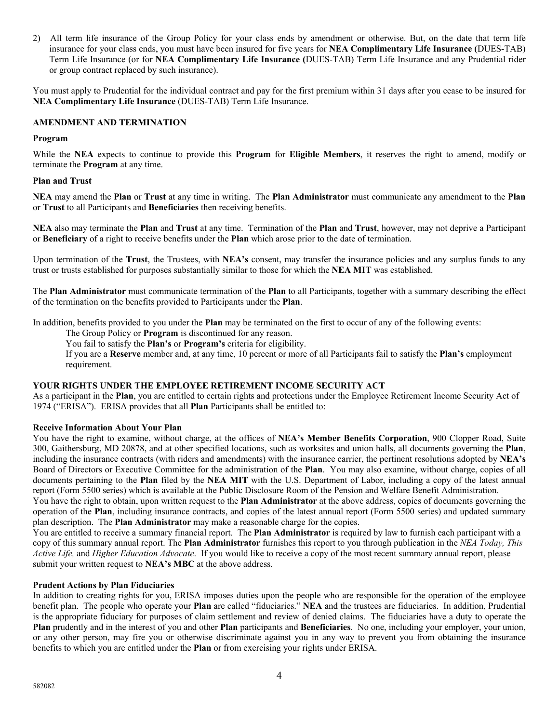2) All term life insurance of the Group Policy for your class ends by amendment or otherwise. But, on the date that term life insurance for your class ends, you must have been insured for five years for **NEA Complimentary Life Insurance (**DUES-TAB) Term Life Insurance (or for **NEA Complimentary Life Insurance (**DUES-TAB) Term Life Insurance and any Prudential rider or group contract replaced by such insurance).

You must apply to Prudential for the individual contract and pay for the first premium within 31 days after you cease to be insured for **NEA Complimentary Life Insurance** (DUES-TAB) Term Life Insurance.

## **AMENDMENT AND TERMINATION**

#### **Program**

While the **NEA** expects to continue to provide this **Program** for **Eligible Members**, it reserves the right to amend, modify or terminate the **Program** at any time.

#### **Plan and Trust**

**NEA** may amend the **Plan** or **Trust** at any time in writing. The **Plan Administrator** must communicate any amendment to the **Plan**  or **Trust** to all Participants and **Beneficiaries** then receiving benefits.

**NEA** also may terminate the **Plan** and **Trust** at any time. Termination of the **Plan** and **Trust**, however, may not deprive a Participant or **Beneficiary** of a right to receive benefits under the **Plan** which arose prior to the date of termination.

Upon termination of the **Trust**, the Trustees, with **NEA's** consent, may transfer the insurance policies and any surplus funds to any trust or trusts established for purposes substantially similar to those for which the **NEA MIT** was established.

The **Plan Administrator** must communicate termination of the **Plan** to all Participants, together with a summary describing the effect of the termination on the benefits provided to Participants under the **Plan**.

In addition, benefits provided to you under the **Plan** may be terminated on the first to occur of any of the following events:

The Group Policy or **Program** is discontinued for any reason.

You fail to satisfy the **Plan's** or **Program's** criteria for eligibility.

If you are a **Reserve** member and, at any time, 10 percent or more of all Participants fail to satisfy the **Plan's** employment requirement.

### **YOUR RIGHTS UNDER THE EMPLOYEE RETIREMENT INCOME SECURITY ACT**

As a participant in the **Plan**, you are entitled to certain rights and protections under the Employee Retirement Income Security Act of 1974 ("ERISA"). ERISA provides that all **Plan** Participants shall be entitled to:

### **Receive Information About Your Plan**

You have the right to examine, without charge, at the offices of **NEA's Member Benefits Corporation**, 900 Clopper Road, Suite 300, Gaithersburg, MD 20878, and at other specified locations, such as worksites and union halls, all documents governing the **Plan**, including the insurance contracts (with riders and amendments) with the insurance carrier, the pertinent resolutions adopted by **NEA's** Board of Directors or Executive Committee for the administration of the **Plan**. You may also examine, without charge, copies of all documents pertaining to the **Plan** filed by the **NEA MIT** with the U.S. Department of Labor, including a copy of the latest annual report (Form 5500 series) which is available at the Public Disclosure Room of the Pension and Welfare Benefit Administration.

You have the right to obtain, upon written request to the **Plan Administrator** at the above address, copies of documents governing the operation of the **Plan**, including insurance contracts, and copies of the latest annual report (Form 5500 series) and updated summary plan description. The **Plan Administrator** may make a reasonable charge for the copies.

You are entitled to receive a summary financial report. The **Plan Administrator** is required by law to furnish each participant with a copy of this summary annual report. The **Plan Administrator** furnishes this report to you through publication in the *NEA Today, This Active Life,* and *Higher Education Advocate*. If you would like to receive a copy of the most recent summary annual report, please submit your written request to **NEA's MBC** at the above address.

### **Prudent Actions by Plan Fiduciaries**

In addition to creating rights for you, ERISA imposes duties upon the people who are responsible for the operation of the employee benefit plan. The people who operate your **Plan** are called "fiduciaries." **NEA** and the trustees are fiduciaries. In addition, Prudential is the appropriate fiduciary for purposes of claim settlement and review of denied claims. The fiduciaries have a duty to operate the **Plan** prudently and in the interest of you and other **Plan** participants and **Beneficiaries**. No one, including your employer, your union, or any other person, may fire you or otherwise discriminate against you in any way to prevent you from obtaining the insurance benefits to which you are entitled under the **Plan** or from exercising your rights under ERISA.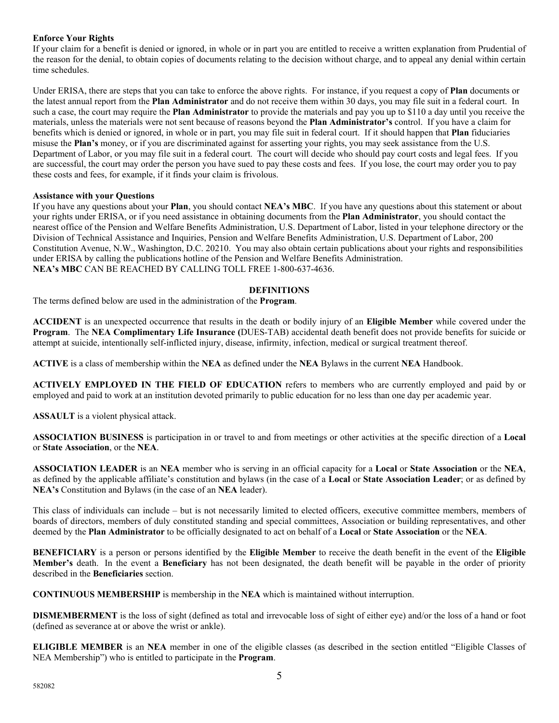# **Enforce Your Rights**

If your claim for a benefit is denied or ignored, in whole or in part you are entitled to receive a written explanation from Prudential of the reason for the denial, to obtain copies of documents relating to the decision without charge, and to appeal any denial within certain time schedules.

Under ERISA, there are steps that you can take to enforce the above rights. For instance, if you request a copy of **Plan** documents or the latest annual report from the **Plan Administrator** and do not receive them within 30 days, you may file suit in a federal court. In such a case, the court may require the **Plan Administrator** to provide the materials and pay you up to \$110 a day until you receive the materials, unless the materials were not sent because of reasons beyond the **Plan Administrator's** control. If you have a claim for benefits which is denied or ignored, in whole or in part, you may file suit in federal court. If it should happen that **Plan** fiduciaries misuse the **Plan's** money, or if you are discriminated against for asserting your rights, you may seek assistance from the U.S. Department of Labor, or you may file suit in a federal court. The court will decide who should pay court costs and legal fees. If you are successful, the court may order the person you have sued to pay these costs and fees. If you lose, the court may order you to pay these costs and fees, for example, if it finds your claim is frivolous.

## **Assistance with your Questions**

If you have any questions about your **Plan**, you should contact **NEA's MBC**. If you have any questions about this statement or about your rights under ERISA, or if you need assistance in obtaining documents from the **Plan Administrator**, you should contact the nearest office of the Pension and Welfare Benefits Administration, U.S. Department of Labor, listed in your telephone directory or the Division of Technical Assistance and Inquiries, Pension and Welfare Benefits Administration, U.S. Department of Labor, 200 Constitution Avenue, N.W., Washington, D.C. 20210. You may also obtain certain publications about your rights and responsibilities under ERISA by calling the publications hotline of the Pension and Welfare Benefits Administration. **NEA's MBC** CAN BE REACHED BY CALLING TOLL FREE 1-800-637-4636.

#### **DEFINITIONS**

The terms defined below are used in the administration of the **Program**.

**ACCIDENT** is an unexpected occurrence that results in the death or bodily injury of an **Eligible Member** while covered under the **Program**. The **NEA Complimentary Life Insurance (**DUES-TAB) accidental death benefit does not provide benefits for suicide or attempt at suicide, intentionally self-inflicted injury, disease, infirmity, infection, medical or surgical treatment thereof.

**ACTIVE** is a class of membership within the **NEA** as defined under the **NEA** Bylaws in the current **NEA** Handbook.

**ACTIVELY EMPLOYED IN THE FIELD OF EDUCATION** refers to members who are currently employed and paid by or employed and paid to work at an institution devoted primarily to public education for no less than one day per academic year.

**ASSAULT** is a violent physical attack.

**ASSOCIATION BUSINESS** is participation in or travel to and from meetings or other activities at the specific direction of a **Local** or **State Association**, or the **NEA**.

**ASSOCIATION LEADER** is an **NEA** member who is serving in an official capacity for a **Local** or **State Association** or the **NEA**, as defined by the applicable affiliate's constitution and bylaws (in the case of a **Local** or **State Association Leader**; or as defined by **NEA's** Constitution and Bylaws (in the case of an **NEA** leader).

This class of individuals can include – but is not necessarily limited to elected officers, executive committee members, members of boards of directors, members of duly constituted standing and special committees, Association or building representatives, and other deemed by the **Plan Administrator** to be officially designated to act on behalf of a **Local** or **State Association** or the **NEA**.

**BENEFICIARY** is a person or persons identified by the **Eligible Member** to receive the death benefit in the event of the **Eligible Member's** death. In the event a **Beneficiary** has not been designated, the death benefit will be payable in the order of priority described in the **Beneficiaries** section.

**CONTINUOUS MEMBERSHIP** is membership in the **NEA** which is maintained without interruption.

**DISMEMBERMENT** is the loss of sight (defined as total and irrevocable loss of sight of either eye) and/or the loss of a hand or foot (defined as severance at or above the wrist or ankle).

**ELIGIBLE MEMBER** is an **NEA** member in one of the eligible classes (as described in the section entitled "Eligible Classes of NEA Membership") who is entitled to participate in the **Program**.